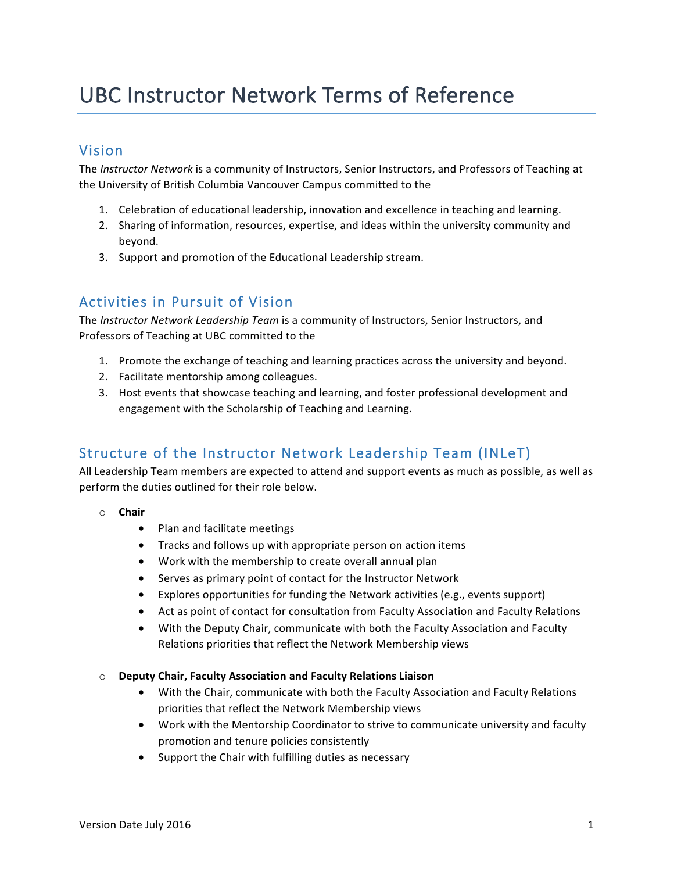# UBC Instructor Network Terms of Reference

## Vision

The *Instructor Network* is a community of Instructors, Senior Instructors, and Professors of Teaching at the University of British Columbia Vancouver Campus committed to the

- 1. Celebration of educational leadership, innovation and excellence in teaching and learning.
- 2. Sharing of information, resources, expertise, and ideas within the university community and beyond.
- 3. Support and promotion of the Educational Leadership stream.

## Activities in Pursuit of Vision

The *Instructor Network Leadership Team* is a community of Instructors, Senior Instructors, and Professors of Teaching at UBC committed to the

- 1. Promote the exchange of teaching and learning practices across the university and beyond.
- 2. Facilitate mentorship among colleagues.
- 3. Host events that showcase teaching and learning, and foster professional development and engagement with the Scholarship of Teaching and Learning.

# Structure of the Instructor Network Leadership Team (INLeT)

All Leadership Team members are expected to attend and support events as much as possible, as well as perform the duties outlined for their role below.

- o **Chair**
	- Plan and facilitate meetings
	- Tracks and follows up with appropriate person on action items
	- Work with the membership to create overall annual plan
	- Serves as primary point of contact for the Instructor Network
	- Explores opportunities for funding the Network activities (e.g., events support)
	- Act as point of contact for consultation from Faculty Association and Faculty Relations
	- With the Deputy Chair, communicate with both the Faculty Association and Faculty Relations priorities that reflect the Network Membership views
- o **Deputy Chair, Faculty Association and Faculty Relations Liaison**
	- With the Chair, communicate with both the Faculty Association and Faculty Relations priorities that reflect the Network Membership views
	- Work with the Mentorship Coordinator to strive to communicate university and faculty promotion and tenure policies consistently
	- Support the Chair with fulfilling duties as necessary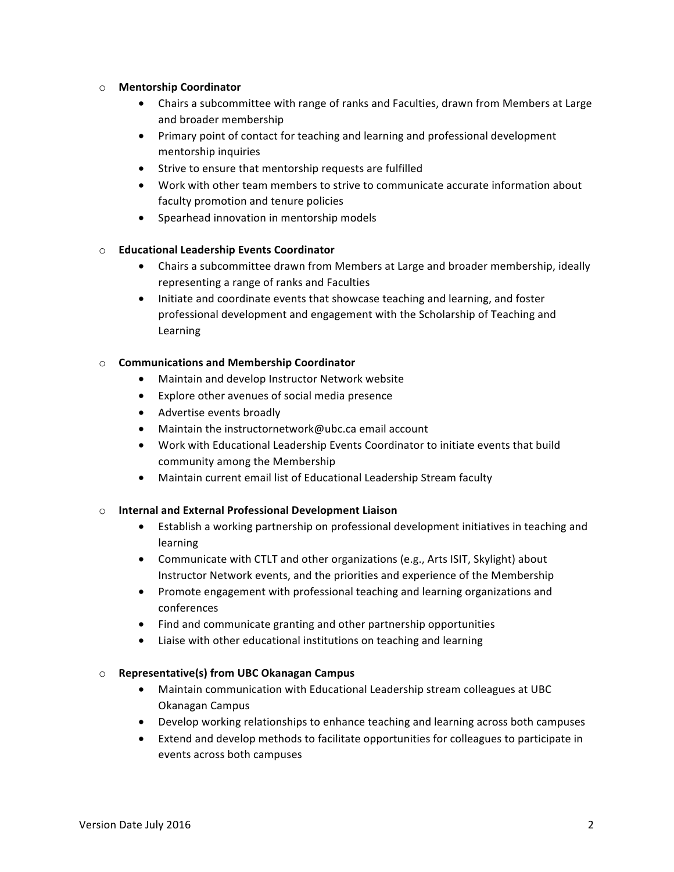#### o **Mentorship Coordinator**

- Chairs a subcommittee with range of ranks and Faculties, drawn from Members at Large and broader membership
- Primary point of contact for teaching and learning and professional development mentorship inquiries
- Strive to ensure that mentorship requests are fulfilled
- Work with other team members to strive to communicate accurate information about faculty promotion and tenure policies
- Spearhead innovation in mentorship models

## o **Educational Leadership Events Coordinator**

- Chairs a subcommittee drawn from Members at Large and broader membership, ideally representing a range of ranks and Faculties
- Initiate and coordinate events that showcase teaching and learning, and foster professional development and engagement with the Scholarship of Teaching and Learning

#### o **Communications and Membership Coordinator**

- Maintain and develop Instructor Network website
- Explore other avenues of social media presence
- Advertise events broadly
- Maintain the instructornetwork@ubc.ca email account
- Work with Educational Leadership Events Coordinator to initiate events that build community among the Membership
- Maintain current email list of Educational Leadership Stream faculty

## o **Internal and External Professional Development Liaison**

- Establish a working partnership on professional development initiatives in teaching and learning
- Communicate with CTLT and other organizations (e.g., Arts ISIT, Skylight) about Instructor Network events, and the priorities and experience of the Membership
- Promote engagement with professional teaching and learning organizations and conferences
- Find and communicate granting and other partnership opportunities
- Liaise with other educational institutions on teaching and learning

## o **Representative(s) from UBC Okanagan Campus**

- Maintain communication with Educational Leadership stream colleagues at UBC Okanagan Campus
- Develop working relationships to enhance teaching and learning across both campuses
- Extend and develop methods to facilitate opportunities for colleagues to participate in events across both campuses